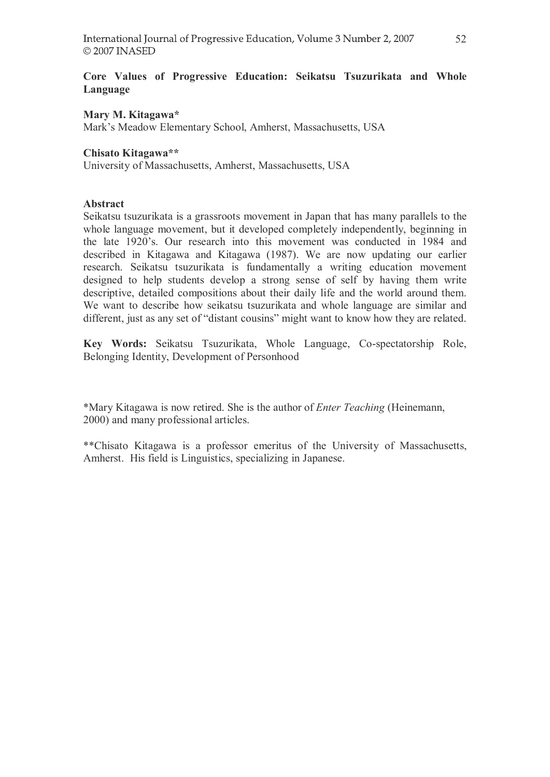# Core Values of Progressive Education: Seikatsu Tsuzurikata and Whole Language

## Mary M. Kitagawa\*

Mark's Meadow Elementary School, Amherst, Massachusetts, USA

## Chisato Kitagawa\*\*

University of Massachusetts, Amherst, Massachusetts, USA

### Abstract

Seikatsu tsuzurikata is a grassroots movement in Japan that has many parallels to the whole language movement, but it developed completely independently, beginning in the late 1920's. Our research into this movement was conducted in 1984 and described in Kitagawa and Kitagawa (1987). We are now updating our earlier research. Seikatsu tsuzurikata is fundamentally a writing education movement designed to help students develop a strong sense of self by having them write descriptive, detailed compositions about their daily life and the world around them. We want to describe how seikatsu tsuzurikata and whole language are similar and different, just as any set of "distant cousins" might want to know how they are related.

Key Words: Seikatsu Tsuzurikata, Whole Language, Co-spectatorship Role, Belonging Identity, Development of Personhood

\*Mary Kitagawa is now retired. She is the author of Enter Teaching (Heinemann, 2000) and many professional articles.

\*\*Chisato Kitagawa is a professor emeritus of the University of Massachusetts, Amherst. His field is Linguistics, specializing in Japanese.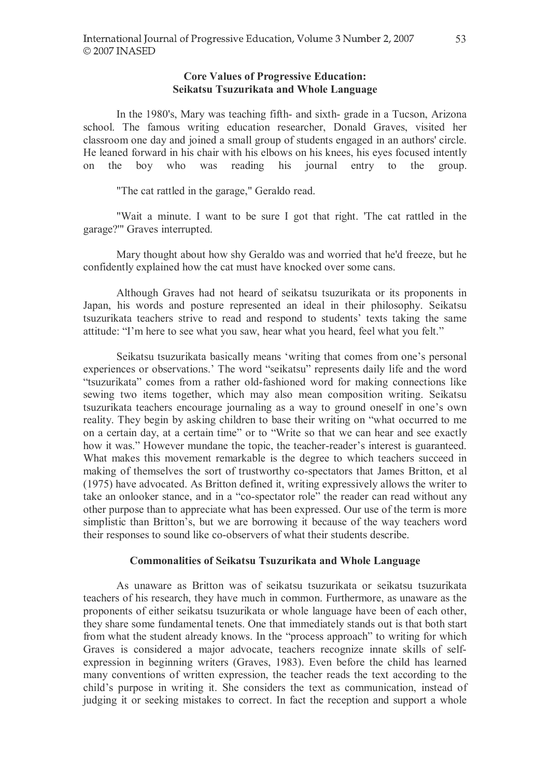### Core Values of Progressive Education: Seikatsu Tsuzurikata and Whole Language

In the 1980's, Mary was teaching fifth- and sixth- grade in a Tucson, Arizona school. The famous writing education researcher, Donald Graves, visited her classroom one day and joined a small group of students engaged in an authors' circle. He leaned forward in his chair with his elbows on his knees, his eyes focused intently on the boy who was reading his journal entry to the group.

"The cat rattled in the garage," Geraldo read.

"Wait a minute. I want to be sure I got that right. 'The cat rattled in the garage?'" Graves interrupted.

Mary thought about how shy Geraldo was and worried that he'd freeze, but he confidently explained how the cat must have knocked over some cans.

Although Graves had not heard of seikatsu tsuzurikata or its proponents in Japan, his words and posture represented an ideal in their philosophy. Seikatsu tsuzurikata teachers strive to read and respond to students' texts taking the same attitude: "I'm here to see what you saw, hear what you heard, feel what you felt."

Seikatsu tsuzurikata basically means 'writing that comes from one's personal experiences or observations.' The word "seikatsu" represents daily life and the word "tsuzurikata" comes from a rather old-fashioned word for making connections like sewing two items together, which may also mean composition writing. Seikatsu tsuzurikata teachers encourage journaling as a way to ground oneself in one's own reality. They begin by asking children to base their writing on "what occurred to me on a certain day, at a certain time" or to "Write so that we can hear and see exactly how it was." However mundane the topic, the teacher-reader's interest is guaranteed. What makes this movement remarkable is the degree to which teachers succeed in making of themselves the sort of trustworthy co-spectators that James Britton, et al (1975) have advocated. As Britton defined it, writing expressively allows the writer to take an onlooker stance, and in a "co-spectator role" the reader can read without any other purpose than to appreciate what has been expressed. Our use of the term is more simplistic than Britton's, but we are borrowing it because of the way teachers word their responses to sound like co-observers of what their students describe.

### Commonalities of Seikatsu Tsuzurikata and Whole Language

As unaware as Britton was of seikatsu tsuzurikata or seikatsu tsuzurikata teachers of his research, they have much in common. Furthermore, as unaware as the proponents of either seikatsu tsuzurikata or whole language have been of each other, they share some fundamental tenets. One that immediately stands out is that both start from what the student already knows. In the "process approach" to writing for which Graves is considered a major advocate, teachers recognize innate skills of selfexpression in beginning writers (Graves, 1983). Even before the child has learned many conventions of written expression, the teacher reads the text according to the child's purpose in writing it. She considers the text as communication, instead of judging it or seeking mistakes to correct. In fact the reception and support a whole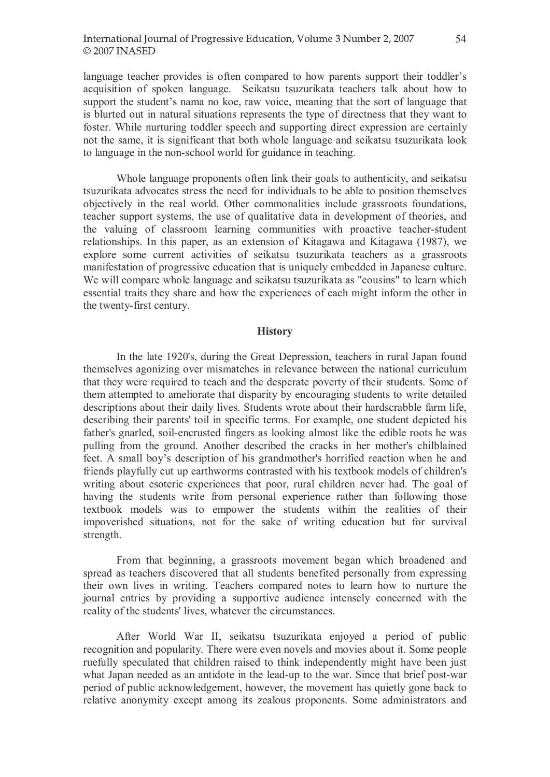language teacher provides is often compared to how parents support their toddler's acquisition of spoken language. Seikatsu tsuzurikata teachers talk about how to support the student's nama no koe, raw voice, meaning that the sort of language that is blurted out in natural situations represents the type of directness that they want to foster. While nurturing toddler speech and supporting direct expression are certainly not the same, it is significant that both whole language and seikatsu tsuzurikata look to language in the non-school world for guidance in teaching.

Whole language proponents often link their goals to authenticity, and seikatsu tsuzurikata advocates stress the need for individuals to be able to position themselves objectively in the real world. Other commonalities include grassroots foundations, teacher support systems, the use of qualitative data in development of theories, and the valuing of classroom learning communities with proactive teacher-student relationships. In this paper, as an extension of Kitagawa and Kitagawa (1987), we explore some current activities of seikatsu tsuzurikata teachers as a grassroots manifestation of progressive education that is uniquely embedded in Japanese culture. We will compare whole language and seikatsu tsuzurikata as "cousins" to learn which essential traits they share and how the experiences of each might inform the other in the twenty-first century.

#### **History**

In the late 1920's, during the Great Depression, teachers in rural Japan found themselves agonizing over mismatches in relevance between the national curriculum that they were required to teach and the desperate poverty of their students. Some of them attempted to ameliorate that disparity by encouraging students to write detailed descriptions about their daily lives. Students wrote about their hardscrabble farm life, describing their parents' toil in specific terms. For example, one student depicted his father's gnarled, soil-encrusted fingers as looking almost like the edible roots he was pulling from the ground. Another described the cracks in her mother's chilblained feet. A small boy's description of his grandmother's horrified reaction when he and friends playfully cut up earthworms contrasted with his textbook models of children's writing about esoteric experiences that poor, rural children never had. The goal of having the students write from personal experience rather than following those textbook models was to empower the students within the realities of their impoverished situations, not for the sake of writing education but for survival strength.

From that beginning, a grassroots movement began which broadened and spread as teachers discovered that all students benefited personally from expressing their own lives in writing. Teachers compared notes to learn how to nurture the journal entries by providing a supportive audience intensely concerned with the reality of the students' lives, whatever the circumstances.

After World War II, seikatsu tsuzurikata enjoyed a period of public recognition and popularity. There were even novels and movies about it. Some people ruefully speculated that children raised to think independently might have been just what Japan needed as an antidote in the lead-up to the war. Since that brief post-war period of public acknowledgement, however, the movement has quietly gone back to relative anonymity except among its zealous proponents. Some administrators and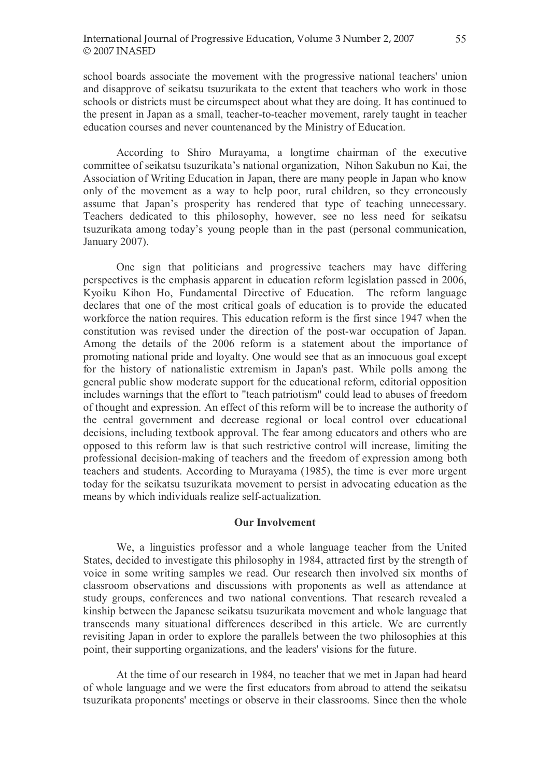school boards associate the movement with the progressive national teachers' union and disapprove of seikatsu tsuzurikata to the extent that teachers who work in those schools or districts must be circumspect about what they are doing. It has continued to the present in Japan as a small, teacher-to-teacher movement, rarely taught in teacher education courses and never countenanced by the Ministry of Education.

According to Shiro Murayama, a longtime chairman of the executive committee of seikatsu tsuzurikata's national organization, Nihon Sakubun no Kai, the Association of Writing Education in Japan, there are many people in Japan who know only of the movement as a way to help poor, rural children, so they erroneously assume that Japan's prosperity has rendered that type of teaching unnecessary. Teachers dedicated to this philosophy, however, see no less need for seikatsu tsuzurikata among today's young people than in the past (personal communication, January 2007).

One sign that politicians and progressive teachers may have differing perspectives is the emphasis apparent in education reform legislation passed in 2006, Kyoiku Kihon Ho, Fundamental Directive of Education. The reform language declares that one of the most critical goals of education is to provide the educated workforce the nation requires. This education reform is the first since 1947 when the constitution was revised under the direction of the post-war occupation of Japan. Among the details of the 2006 reform is a statement about the importance of promoting national pride and loyalty. One would see that as an innocuous goal except for the history of nationalistic extremism in Japan's past. While polls among the general public show moderate support for the educational reform, editorial opposition includes warnings that the effort to "teach patriotism" could lead to abuses of freedom of thought and expression. An effect of this reform will be to increase the authority of the central government and decrease regional or local control over educational decisions, including textbook approval. The fear among educators and others who are opposed to this reform law is that such restrictive control will increase, limiting the professional decision-making of teachers and the freedom of expression among both teachers and students. According to Murayama (1985), the time is ever more urgent today for the seikatsu tsuzurikata movement to persist in advocating education as the means by which individuals realize self-actualization.

#### Our Involvement

We, a linguistics professor and a whole language teacher from the United States, decided to investigate this philosophy in 1984, attracted first by the strength of voice in some writing samples we read. Our research then involved six months of classroom observations and discussions with proponents as well as attendance at study groups, conferences and two national conventions. That research revealed a kinship between the Japanese seikatsu tsuzurikata movement and whole language that transcends many situational differences described in this article. We are currently revisiting Japan in order to explore the parallels between the two philosophies at this point, their supporting organizations, and the leaders' visions for the future.

At the time of our research in 1984, no teacher that we met in Japan had heard of whole language and we were the first educators from abroad to attend the seikatsu tsuzurikata proponents' meetings or observe in their classrooms. Since then the whole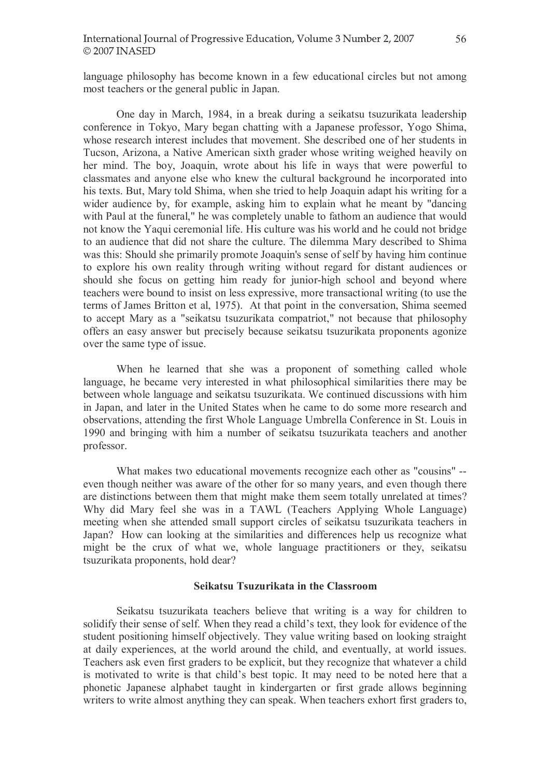language philosophy has become known in a few educational circles but not among most teachers or the general public in Japan.

One day in March, 1984, in a break during a seikatsu tsuzurikata leadership conference in Tokyo, Mary began chatting with a Japanese professor, Yogo Shima, whose research interest includes that movement. She described one of her students in Tucson, Arizona, a Native American sixth grader whose writing weighed heavily on her mind. The boy, Joaquin, wrote about his life in ways that were powerful to classmates and anyone else who knew the cultural background he incorporated into his texts. But, Mary told Shima, when she tried to help Joaquin adapt his writing for a wider audience by, for example, asking him to explain what he meant by "dancing with Paul at the funeral," he was completely unable to fathom an audience that would not know the Yaqui ceremonial life. His culture was his world and he could not bridge to an audience that did not share the culture. The dilemma Mary described to Shima was this: Should she primarily promote Joaquin's sense of self by having him continue to explore his own reality through writing without regard for distant audiences or should she focus on getting him ready for junior-high school and beyond where teachers were bound to insist on less expressive, more transactional writing (to use the terms of James Britton et al, 1975). At that point in the conversation, Shima seemed to accept Mary as a "seikatsu tsuzurikata compatriot," not because that philosophy offers an easy answer but precisely because seikatsu tsuzurikata proponents agonize over the same type of issue.

When he learned that she was a proponent of something called whole language, he became very interested in what philosophical similarities there may be between whole language and seikatsu tsuzurikata. We continued discussions with him in Japan, and later in the United States when he came to do some more research and observations, attending the first Whole Language Umbrella Conference in St. Louis in 1990 and bringing with him a number of seikatsu tsuzurikata teachers and another professor.

What makes two educational movements recognize each other as "cousins" - even though neither was aware of the other for so many years, and even though there are distinctions between them that might make them seem totally unrelated at times? Why did Mary feel she was in a TAWL (Teachers Applying Whole Language) meeting when she attended small support circles of seikatsu tsuzurikata teachers in Japan? How can looking at the similarities and differences help us recognize what might be the crux of what we, whole language practitioners or they, seikatsu tsuzurikata proponents, hold dear?

#### Seikatsu Tsuzurikata in the Classroom

Seikatsu tsuzurikata teachers believe that writing is a way for children to solidify their sense of self. When they read a child's text, they look for evidence of the student positioning himself objectively. They value writing based on looking straight at daily experiences, at the world around the child, and eventually, at world issues. Teachers ask even first graders to be explicit, but they recognize that whatever a child is motivated to write is that child's best topic. It may need to be noted here that a phonetic Japanese alphabet taught in kindergarten or first grade allows beginning writers to write almost anything they can speak. When teachers exhort first graders to,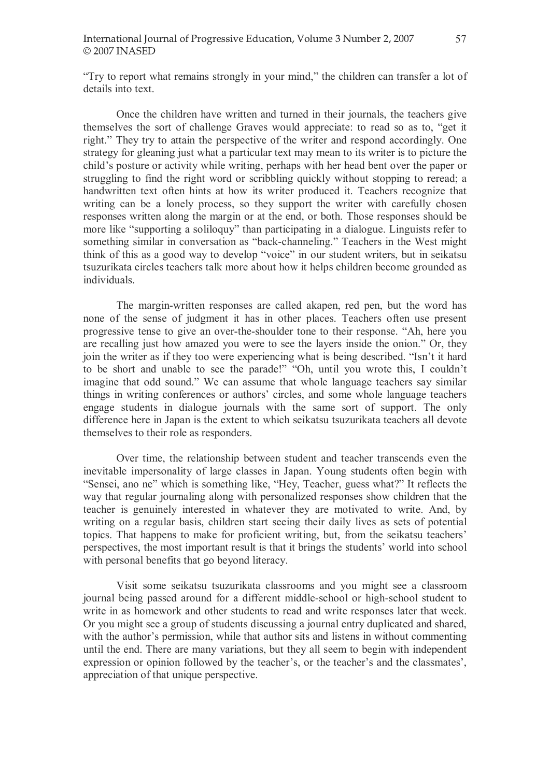"Try to report what remains strongly in your mind," the children can transfer a lot of details into text.

Once the children have written and turned in their journals, the teachers give themselves the sort of challenge Graves would appreciate: to read so as to, "get it right." They try to attain the perspective of the writer and respond accordingly. One strategy for gleaning just what a particular text may mean to its writer is to picture the child's posture or activity while writing, perhaps with her head bent over the paper or struggling to find the right word or scribbling quickly without stopping to reread; a handwritten text often hints at how its writer produced it. Teachers recognize that writing can be a lonely process, so they support the writer with carefully chosen responses written along the margin or at the end, or both. Those responses should be more like "supporting a soliloquy" than participating in a dialogue. Linguists refer to something similar in conversation as "back-channeling." Teachers in the West might think of this as a good way to develop "voice" in our student writers, but in seikatsu tsuzurikata circles teachers talk more about how it helps children become grounded as individuals.

The margin-written responses are called akapen, red pen, but the word has none of the sense of judgment it has in other places. Teachers often use present progressive tense to give an over-the-shoulder tone to their response. "Ah, here you are recalling just how amazed you were to see the layers inside the onion.<sup>"</sup> Or, they join the writer as if they too were experiencing what is being described. "Isn't it hard to be short and unable to see the parade!" "Oh, until you wrote this, I couldn't imagine that odd sound." We can assume that whole language teachers say similar things in writing conferences or authors' circles, and some whole language teachers engage students in dialogue journals with the same sort of support. The only difference here in Japan is the extent to which seikatsu tsuzurikata teachers all devote themselves to their role as responders.

Over time, the relationship between student and teacher transcends even the inevitable impersonality of large classes in Japan. Young students often begin with "Sensei, ano ne" which is something like, "Hey, Teacher, guess what?" It reflects the way that regular journaling along with personalized responses show children that the teacher is genuinely interested in whatever they are motivated to write. And, by writing on a regular basis, children start seeing their daily lives as sets of potential topics. That happens to make for proficient writing, but, from the seikatsu teachers' perspectives, the most important result is that it brings the students' world into school with personal benefits that go beyond literacy.

Visit some seikatsu tsuzurikata classrooms and you might see a classroom journal being passed around for a different middle-school or high-school student to write in as homework and other students to read and write responses later that week. Or you might see a group of students discussing a journal entry duplicated and shared, with the author's permission, while that author sits and listens in without commenting until the end. There are many variations, but they all seem to begin with independent expression or opinion followed by the teacher's, or the teacher's and the classmates', appreciation of that unique perspective.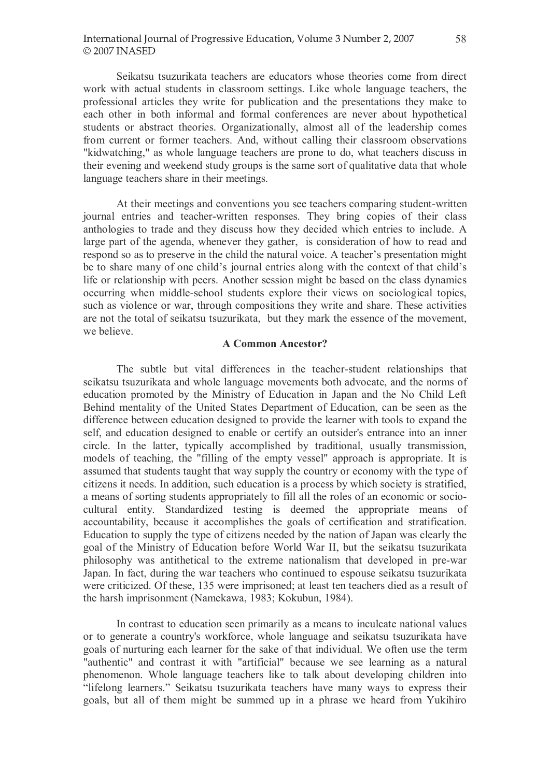Seikatsu tsuzurikata teachers are educators whose theories come from direct work with actual students in classroom settings. Like whole language teachers, the professional articles they write for publication and the presentations they make to each other in both informal and formal conferences are never about hypothetical students or abstract theories. Organizationally, almost all of the leadership comes from current or former teachers. And, without calling their classroom observations "kidwatching," as whole language teachers are prone to do, what teachers discuss in their evening and weekend study groups is the same sort of qualitative data that whole language teachers share in their meetings.

At their meetings and conventions you see teachers comparing student-written journal entries and teacher-written responses. They bring copies of their class anthologies to trade and they discuss how they decided which entries to include. A large part of the agenda, whenever they gather, is consideration of how to read and respond so as to preserve in the child the natural voice. A teacher's presentation might be to share many of one child's journal entries along with the context of that child's life or relationship with peers. Another session might be based on the class dynamics occurring when middle-school students explore their views on sociological topics, such as violence or war, through compositions they write and share. These activities are not the total of seikatsu tsuzurikata, but they mark the essence of the movement, we believe.

## A Common Ancestor?

The subtle but vital differences in the teacher-student relationships that seikatsu tsuzurikata and whole language movements both advocate, and the norms of education promoted by the Ministry of Education in Japan and the No Child Left Behind mentality of the United States Department of Education, can be seen as the difference between education designed to provide the learner with tools to expand the self, and education designed to enable or certify an outsider's entrance into an inner circle. In the latter, typically accomplished by traditional, usually transmission, models of teaching, the "filling of the empty vessel" approach is appropriate. It is assumed that students taught that way supply the country or economy with the type of citizens it needs. In addition, such education is a process by which society is stratified, a means of sorting students appropriately to fill all the roles of an economic or sociocultural entity. Standardized testing is deemed the appropriate means of accountability, because it accomplishes the goals of certification and stratification. Education to supply the type of citizens needed by the nation of Japan was clearly the goal of the Ministry of Education before World War II, but the seikatsu tsuzurikata philosophy was antithetical to the extreme nationalism that developed in pre-war Japan. In fact, during the war teachers who continued to espouse seikatsu tsuzurikata were criticized. Of these, 135 were imprisoned; at least ten teachers died as a result of the harsh imprisonment (Namekawa, 1983; Kokubun, 1984).

In contrast to education seen primarily as a means to inculcate national values or to generate a country's workforce, whole language and seikatsu tsuzurikata have goals of nurturing each learner for the sake of that individual. We often use the term "authentic" and contrast it with "artificial" because we see learning as a natural phenomenon. Whole language teachers like to talk about developing children into "lifelong learners." Seikatsu tsuzurikata teachers have many ways to express their goals, but all of them might be summed up in a phrase we heard from Yukihiro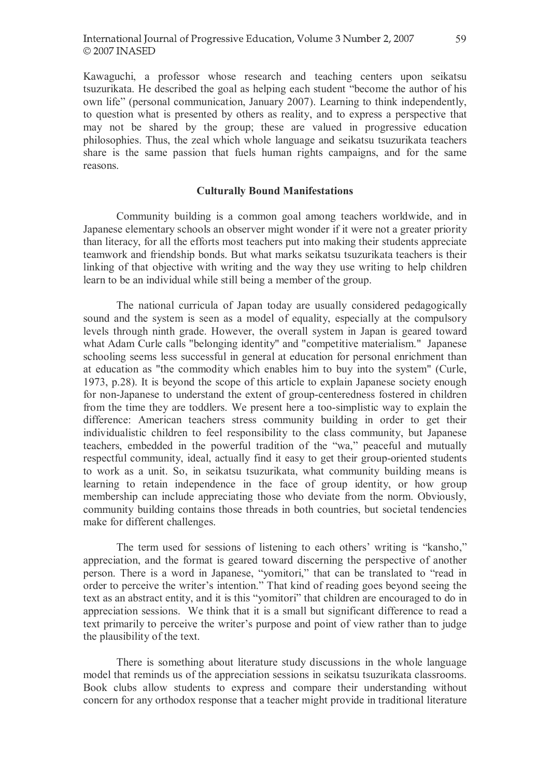Kawaguchi, a professor whose research and teaching centers upon seikatsu tsuzurikata. He described the goal as helping each student "become the author of his own life" (personal communication, January 2007). Learning to think independently, to question what is presented by others as reality, and to express a perspective that may not be shared by the group; these are valued in progressive education philosophies. Thus, the zeal which whole language and seikatsu tsuzurikata teachers share is the same passion that fuels human rights campaigns, and for the same reasons.

#### Culturally Bound Manifestations

Community building is a common goal among teachers worldwide, and in Japanese elementary schools an observer might wonder if it were not a greater priority than literacy, for all the efforts most teachers put into making their students appreciate teamwork and friendship bonds. But what marks seikatsu tsuzurikata teachers is their linking of that objective with writing and the way they use writing to help children learn to be an individual while still being a member of the group.

The national curricula of Japan today are usually considered pedagogically sound and the system is seen as a model of equality, especially at the compulsory levels through ninth grade. However, the overall system in Japan is geared toward what Adam Curle calls "belonging identity" and "competitive materialism." Japanese schooling seems less successful in general at education for personal enrichment than at education as "the commodity which enables him to buy into the system" (Curle, 1973, p.28). It is beyond the scope of this article to explain Japanese society enough for non-Japanese to understand the extent of group-centeredness fostered in children from the time they are toddlers. We present here a too-simplistic way to explain the difference: American teachers stress community building in order to get their individualistic children to feel responsibility to the class community, but Japanese teachers, embedded in the powerful tradition of the "wa," peaceful and mutually respectful community, ideal, actually find it easy to get their group-oriented students to work as a unit. So, in seikatsu tsuzurikata, what community building means is learning to retain independence in the face of group identity, or how group membership can include appreciating those who deviate from the norm. Obviously, community building contains those threads in both countries, but societal tendencies make for different challenges.

The term used for sessions of listening to each others' writing is "kansho," appreciation, and the format is geared toward discerning the perspective of another person. There is a word in Japanese, "yomitori," that can be translated to "read in order to perceive the writer's intention." That kind of reading goes beyond seeing the text as an abstract entity, and it is this "yomitori" that children are encouraged to do in appreciation sessions. We think that it is a small but significant difference to read a text primarily to perceive the writer's purpose and point of view rather than to judge the plausibility of the text.

There is something about literature study discussions in the whole language model that reminds us of the appreciation sessions in seikatsu tsuzurikata classrooms. Book clubs allow students to express and compare their understanding without concern for any orthodox response that a teacher might provide in traditional literature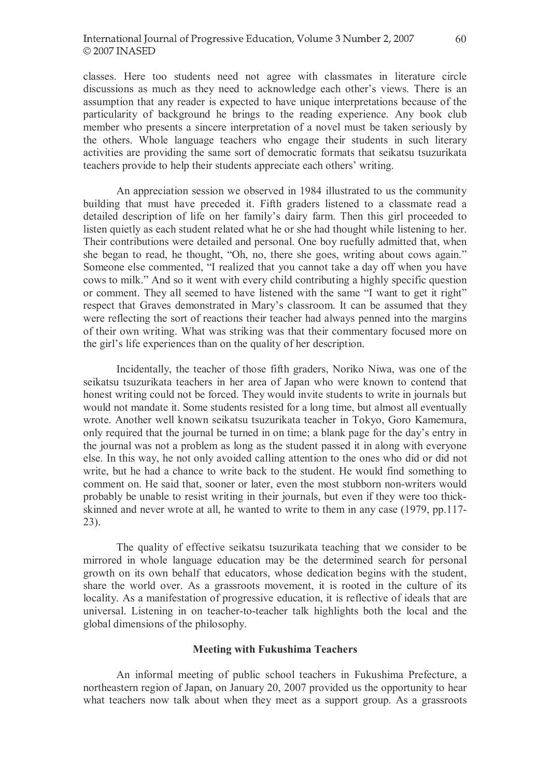classes. Here too students need not agree with classmates in literature circle discussions as much as they need to acknowledge each other's views. There is an assumption that any reader is expected to have unique interpretations because of the particularity of background he brings to the reading experience. Any book club member who presents a sincere interpretation of a novel must be taken seriously by the others. Whole language teachers who engage their students in such literary activities are providing the same sort of democratic formats that seikatsu tsuzurikata teachers provide to help their students appreciate each others' writing.

An appreciation session we observed in 1984 illustrated to us the community building that must have preceded it. Fifth graders listened to a classmate read a detailed description of life on her family's dairy farm. Then this girl proceeded to listen quietly as each student related what he or she had thought while listening to her. Their contributions were detailed and personal. One boy ruefully admitted that, when she began to read, he thought, "Oh, no, there she goes, writing about cows again." Someone else commented, "I realized that you cannot take a day off when you have cows to milk." And so it went with every child contributing a highly specific question or comment. They all seemed to have listened with the same "I want to get it right" respect that Graves demonstrated in Mary's classroom. It can be assumed that they were reflecting the sort of reactions their teacher had always penned into the margins of their own writing. What was striking was that their commentary focused more on the girl's life experiences than on the quality of her description.

Incidentally, the teacher of those fifth graders, Noriko Niwa, was one of the seikatsu tsuzurikata teachers in her area of Japan who were known to contend that honest writing could not be forced. They would invite students to write in journals but would not mandate it. Some students resisted for a long time, but almost all eventually wrote. Another well known seikatsu tsuzurikata teacher in Tokyo, Goro Kamemura, only required that the journal be turned in on time; a blank page for the day's entry in the journal was not a problem as long as the student passed it in along with everyone else. In this way, he not only avoided calling attention to the ones who did or did not write, but he had a chance to write back to the student. He would find something to comment on. He said that, sooner or later, even the most stubborn non-writers would probably be unable to resist writing in their journals, but even if they were too thickskinned and never wrote at all, he wanted to write to them in any case (1979, pp.117- 23).

The quality of effective seikatsu tsuzurikata teaching that we consider to be mirrored in whole language education may be the determined search for personal growth on its own behalf that educators, whose dedication begins with the student, share the world over. As a grassroots movement, it is rooted in the culture of its locality. As a manifestation of progressive education, it is reflective of ideals that are universal. Listening in on teacher-to-teacher talk highlights both the local and the global dimensions of the philosophy.

#### Meeting with Fukushima Teachers

An informal meeting of public school teachers in Fukushima Prefecture, a northeastern region of Japan, on January 20, 2007 provided us the opportunity to hear what teachers now talk about when they meet as a support group. As a grassroots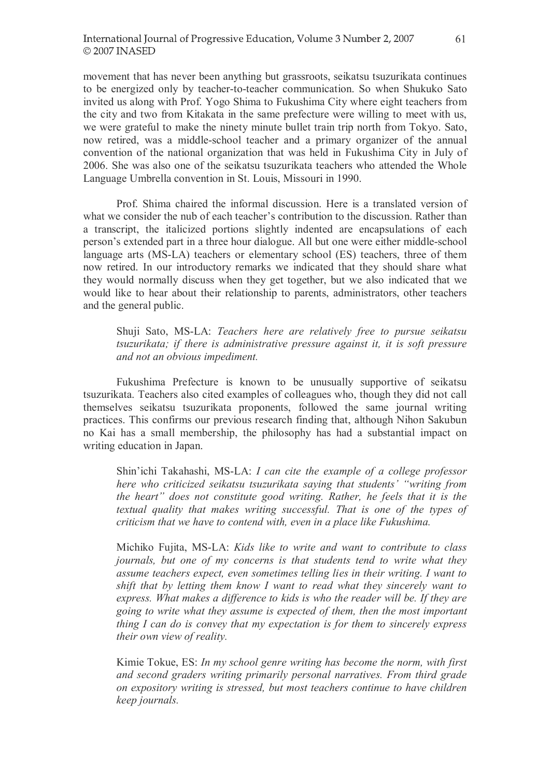movement that has never been anything but grassroots, seikatsu tsuzurikata continues to be energized only by teacher-to-teacher communication. So when Shukuko Sato invited us along with Prof. Yogo Shima to Fukushima City where eight teachers from the city and two from Kitakata in the same prefecture were willing to meet with us, we were grateful to make the ninety minute bullet train trip north from Tokyo. Sato, now retired, was a middle-school teacher and a primary organizer of the annual convention of the national organization that was held in Fukushima City in July of 2006. She was also one of the seikatsu tsuzurikata teachers who attended the Whole Language Umbrella convention in St. Louis, Missouri in 1990.

Prof. Shima chaired the informal discussion. Here is a translated version of what we consider the nub of each teacher's contribution to the discussion. Rather than a transcript, the italicized portions slightly indented are encapsulations of each person's extended part in a three hour dialogue. All but one were either middle-school language arts (MS-LA) teachers or elementary school (ES) teachers, three of them now retired. In our introductory remarks we indicated that they should share what they would normally discuss when they get together, but we also indicated that we would like to hear about their relationship to parents, administrators, other teachers and the general public.

Shuji Sato, MS-LA: Teachers here are relatively free to pursue seikatsu tsuzurikata; if there is administrative pressure against it, it is soft pressure and not an obvious impediment.

Fukushima Prefecture is known to be unusually supportive of seikatsu tsuzurikata. Teachers also cited examples of colleagues who, though they did not call themselves seikatsu tsuzurikata proponents, followed the same journal writing practices. This confirms our previous research finding that, although Nihon Sakubun no Kai has a small membership, the philosophy has had a substantial impact on writing education in Japan.

Shin'ichi Takahashi, MS-LA: I can cite the example of a college professor here who criticized seikatsu tsuzurikata saying that students' "writing from the heart" does not constitute good writing. Rather, he feels that it is the textual quality that makes writing successful. That is one of the types of criticism that we have to contend with, even in a place like Fukushima.

Michiko Fujita, MS-LA: Kids like to write and want to contribute to class journals, but one of my concerns is that students tend to write what they assume teachers expect, even sometimes telling lies in their writing. I want to shift that by letting them know I want to read what they sincerely want to express. What makes a difference to kids is who the reader will be. If they are going to write what they assume is expected of them, then the most important thing I can do is convey that my expectation is for them to sincerely express their own view of reality.

Kimie Tokue, ES: In my school genre writing has become the norm, with first and second graders writing primarily personal narratives. From third grade on expository writing is stressed, but most teachers continue to have children keep journals.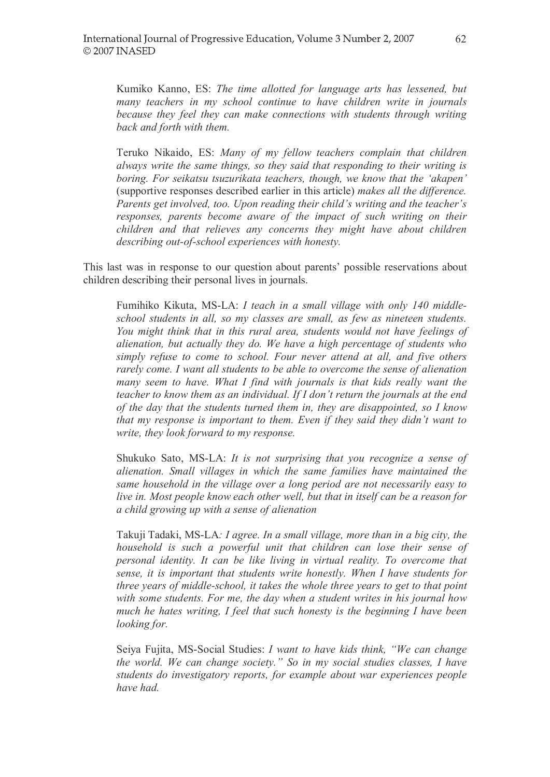Kumiko Kanno, ES: The time allotted for language arts has lessened, but many teachers in my school continue to have children write in journals because they feel they can make connections with students through writing back and forth with them.

Teruko Nikaido, ES: Many of my fellow teachers complain that children always write the same things, so they said that responding to their writing is boring. For seikatsu tsuzurikata teachers, though, we know that the 'akapen' (supportive responses described earlier in this article) makes all the difference. Parents get involved, too. Upon reading their child's writing and the teacher's responses, parents become aware of the impact of such writing on their children and that relieves any concerns they might have about children describing out-of-school experiences with honesty.

This last was in response to our question about parents' possible reservations about children describing their personal lives in journals.

Fumihiko Kikuta, MS-LA: I teach in a small village with only 140 middleschool students in all, so my classes are small, as few as nineteen students. You might think that in this rural area, students would not have feelings of alienation, but actually they do. We have a high percentage of students who simply refuse to come to school. Four never attend at all, and five others rarely come. I want all students to be able to overcome the sense of alienation many seem to have. What I find with journals is that kids really want the teacher to know them as an individual. If  $I$  don't return the journals at the end of the day that the students turned them in, they are disappointed, so I know that my response is important to them. Even if they said they didn't want to write, they look forward to my response.

Shukuko Sato, MS-LA: It is not surprising that you recognize a sense of alienation. Small villages in which the same families have maintained the same household in the village over a long period are not necessarily easy to live in. Most people know each other well, but that in itself can be a reason for a child growing up with a sense of alienation

Takuji Tadaki, MS-LA: I agree. In a small village, more than in a big city, the household is such a powerful unit that children can lose their sense of personal identity. It can be like living in virtual reality. To overcome that sense, it is important that students write honestly. When I have students for three years of middle-school, it takes the whole three years to get to that point with some students. For me, the day when a student writes in his journal how much he hates writing, I feel that such honesty is the beginning I have been looking for.

Seiya Fujita, MS-Social Studies: I want to have kids think, "We can change the world. We can change society.´ So in my social studies classes, I have students do investigatory reports, for example about war experiences people have had.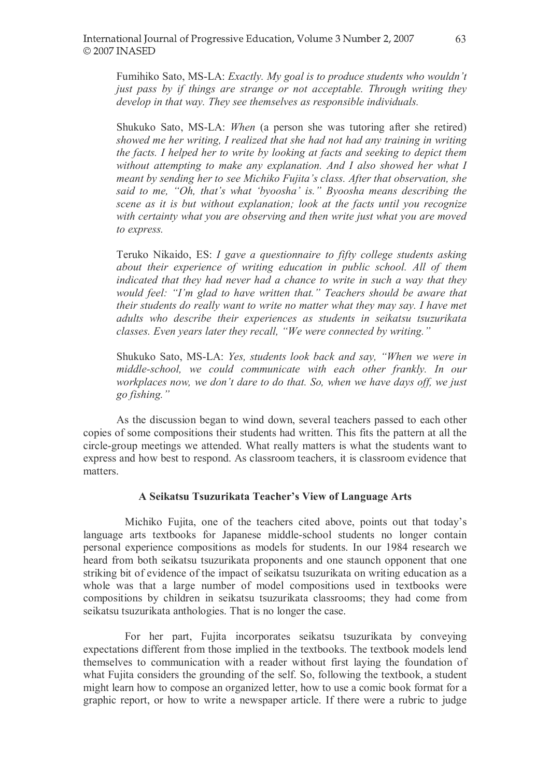Fumihiko Sato, MS-LA: Exactly. My goal is to produce students who wouldn't just pass by if things are strange or not acceptable. Through writing they develop in that way. They see themselves as responsible individuals.

Shukuko Sato, MS-LA: When (a person she was tutoring after she retired) showed me her writing, I realized that she had not had any training in writing the facts. I helped her to write by looking at facts and seeking to depict them without attempting to make any explanation. And I also showed her what I meant by sending her to see Michiko Fujita's class. After that observation, she said to me, "Oh, that's what 'byoosha' is." Byoosha means describing the scene as it is but without explanation; look at the facts until you recognize with certainty what you are observing and then write just what you are moved to express.

Teruko Nikaido, ES: I gave a questionnaire to fifty college students asking about their experience of writing education in public school. All of them indicated that they had never had a chance to write in such a way that they would feel: "I'm glad to have written that." Teachers should be aware that their students do really want to write no matter what they may say. I have met adults who describe their experiences as students in seikatsu tsuzurikata classes. Even years later they recall, "We were connected by writing."

Shukuko Sato, MS-LA: Yes, students look back and say, "When we were in middle-school, we could communicate with each other frankly. In our workplaces now, we don't dare to do that. So, when we have days off, we just go fishing.´

As the discussion began to wind down, several teachers passed to each other copies of some compositions their students had written. This fits the pattern at all the circle-group meetings we attended. What really matters is what the students want to express and how best to respond. As classroom teachers, it is classroom evidence that matters.

### A Seikatsu Tsuzurikata Teacher's View of Language Arts

Michiko Fujita, one of the teachers cited above, points out that today's language arts textbooks for Japanese middle-school students no longer contain personal experience compositions as models for students. In our 1984 research we heard from both seikatsu tsuzurikata proponents and one staunch opponent that one striking bit of evidence of the impact of seikatsu tsuzurikata on writing education as a whole was that a large number of model compositions used in textbooks were compositions by children in seikatsu tsuzurikata classrooms; they had come from seikatsu tsuzurikata anthologies. That is no longer the case.

For her part, Fujita incorporates seikatsu tsuzurikata by conveying expectations different from those implied in the textbooks. The textbook models lend themselves to communication with a reader without first laying the foundation of what Fujita considers the grounding of the self. So, following the textbook, a student might learn how to compose an organized letter, how to use a comic book format for a graphic report, or how to write a newspaper article. If there were a rubric to judge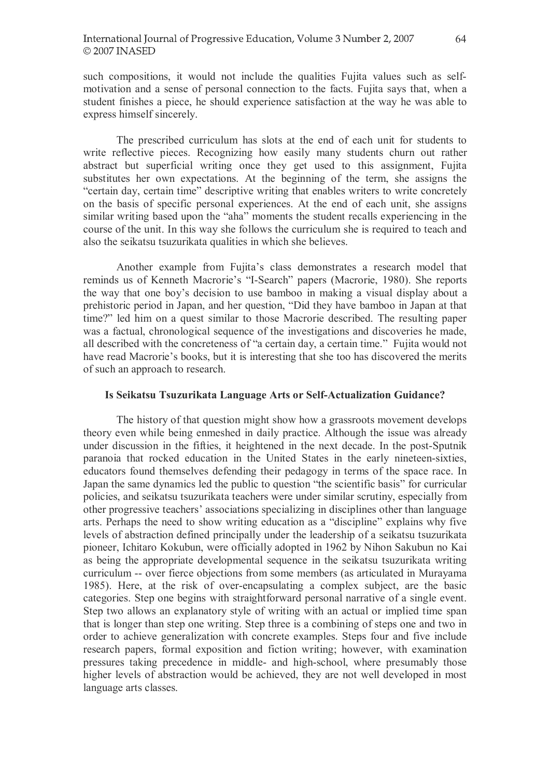such compositions, it would not include the qualities Fujita values such as selfmotivation and a sense of personal connection to the facts. Fujita says that, when a student finishes a piece, he should experience satisfaction at the way he was able to express himself sincerely.

The prescribed curriculum has slots at the end of each unit for students to write reflective pieces. Recognizing how easily many students churn out rather abstract but superficial writing once they get used to this assignment, Fujita substitutes her own expectations. At the beginning of the term, she assigns the "certain day, certain time" descriptive writing that enables writers to write concretely on the basis of specific personal experiences. At the end of each unit, she assigns similar writing based upon the "aha" moments the student recalls experiencing in the course of the unit. In this way she follows the curriculum she is required to teach and also the seikatsu tsuzurikata qualities in which she believes.

Another example from Fujita's class demonstrates a research model that reminds us of Kenneth Macrorie's "I-Search" papers (Macrorie, 1980). She reports the way that one boy's decision to use bamboo in making a visual display about a prehistoric period in Japan, and her question, "Did they have bamboo in Japan at that time?" led him on a quest similar to those Macrorie described. The resulting paper was a factual, chronological sequence of the investigations and discoveries he made, all described with the concreteness of "a certain day, a certain time." Fujita would not have read Macrorie's books, but it is interesting that she too has discovered the merits of such an approach to research.

#### Is Seikatsu Tsuzurikata Language Arts or Self-Actualization Guidance?

The history of that question might show how a grassroots movement develops theory even while being enmeshed in daily practice. Although the issue was already under discussion in the fifties, it heightened in the next decade. In the post-Sputnik paranoia that rocked education in the United States in the early nineteen-sixties, educators found themselves defending their pedagogy in terms of the space race. In Japan the same dynamics led the public to question "the scientific basis" for curricular policies, and seikatsu tsuzurikata teachers were under similar scrutiny, especially from other progressive teachers' associations specializing in disciplines other than language arts. Perhaps the need to show writing education as a "discipline" explains why five levels of abstraction defined principally under the leadership of a seikatsu tsuzurikata pioneer, Ichitaro Kokubun, were officially adopted in 1962 by Nihon Sakubun no Kai as being the appropriate developmental sequence in the seikatsu tsuzurikata writing curriculum -- over fierce objections from some members (as articulated in Murayama 1985). Here, at the risk of over-encapsulating a complex subject, are the basic categories. Step one begins with straightforward personal narrative of a single event. Step two allows an explanatory style of writing with an actual or implied time span that is longer than step one writing. Step three is a combining of steps one and two in order to achieve generalization with concrete examples. Steps four and five include research papers, formal exposition and fiction writing; however, with examination pressures taking precedence in middle- and high-school, where presumably those higher levels of abstraction would be achieved, they are not well developed in most language arts classes.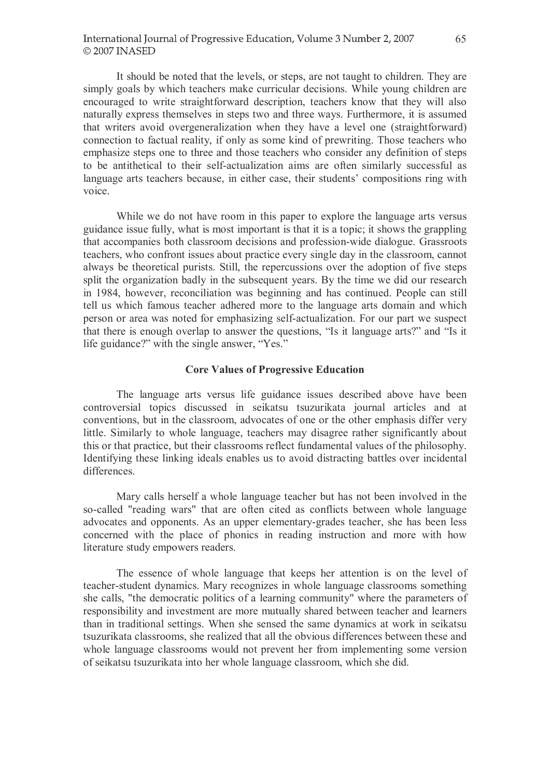It should be noted that the levels, or steps, are not taught to children. They are simply goals by which teachers make curricular decisions. While young children are encouraged to write straightforward description, teachers know that they will also naturally express themselves in steps two and three ways. Furthermore, it is assumed that writers avoid overgeneralization when they have a level one (straightforward) connection to factual reality, if only as some kind of prewriting. Those teachers who emphasize steps one to three and those teachers who consider any definition of steps to be antithetical to their self-actualization aims are often similarly successful as language arts teachers because, in either case, their students' compositions ring with voice.

While we do not have room in this paper to explore the language arts versus guidance issue fully, what is most important is that it is a topic; it shows the grappling that accompanies both classroom decisions and profession-wide dialogue. Grassroots teachers, who confront issues about practice every single day in the classroom, cannot always be theoretical purists. Still, the repercussions over the adoption of five steps split the organization badly in the subsequent years. By the time we did our research in 1984, however, reconciliation was beginning and has continued. People can still tell us which famous teacher adhered more to the language arts domain and which person or area was noted for emphasizing self-actualization. For our part we suspect that there is enough overlap to answer the questions, "Is it language arts?" and "Is it life guidance?" with the single answer, "Yes."

## Core Values of Progressive Education

The language arts versus life guidance issues described above have been controversial topics discussed in seikatsu tsuzurikata journal articles and at conventions, but in the classroom, advocates of one or the other emphasis differ very little. Similarly to whole language, teachers may disagree rather significantly about this or that practice, but their classrooms reflect fundamental values of the philosophy. Identifying these linking ideals enables us to avoid distracting battles over incidental differences.

Mary calls herself a whole language teacher but has not been involved in the so-called "reading wars" that are often cited as conflicts between whole language advocates and opponents. As an upper elementary-grades teacher, she has been less concerned with the place of phonics in reading instruction and more with how literature study empowers readers.

The essence of whole language that keeps her attention is on the level of teacher-student dynamics. Mary recognizes in whole language classrooms something she calls, "the democratic politics of a learning community" where the parameters of responsibility and investment are more mutually shared between teacher and learners than in traditional settings. When she sensed the same dynamics at work in seikatsu tsuzurikata classrooms, she realized that all the obvious differences between these and whole language classrooms would not prevent her from implementing some version of seikatsu tsuzurikata into her whole language classroom, which she did.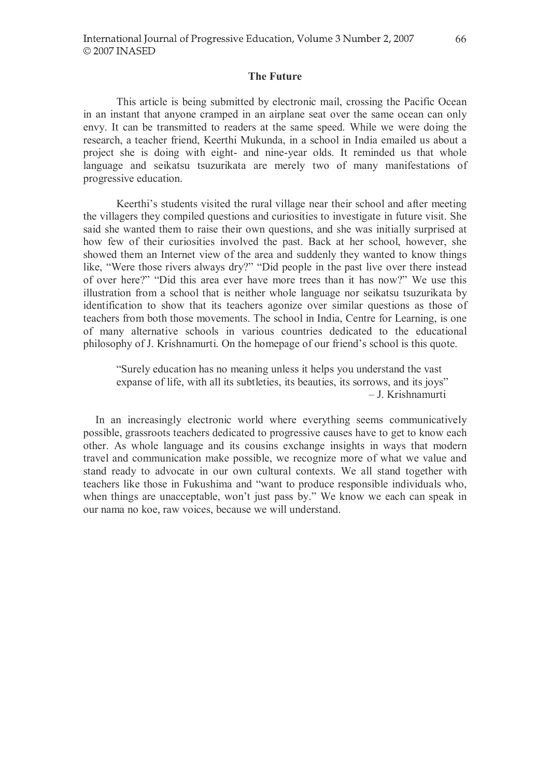### The Future

This article is being submitted by electronic mail, crossing the Pacific Ocean in an instant that anyone cramped in an airplane seat over the same ocean can only envy. It can be transmitted to readers at the same speed. While we were doing the research, a teacher friend, Keerthi Mukunda, in a school in India emailed us about a project she is doing with eight- and nine-year olds. It reminded us that whole language and seikatsu tsuzurikata are merely two of many manifestations of progressive education.

Keerthi's students visited the rural village near their school and after meeting the villagers they compiled questions and curiosities to investigate in future visit. She said she wanted them to raise their own questions, and she was initially surprised at how few of their curiosities involved the past. Back at her school, however, she showed them an Internet view of the area and suddenly they wanted to know things like, "Were those rivers always dry?" "Did people in the past live over there instead of over here?" "Did this area ever have more trees than it has now?" We use this illustration from a school that is neither whole language nor seikatsu tsuzurikata by identification to show that its teachers agonize over similar questions as those of teachers from both those movements. The school in India, Centre for Learning, is one of many alternative schools in various countries dedicated to the educational philosophy of J. Krishnamurti. On the homepage of our friend's school is this quote.

³Surely education has no meaning unless it helps you understand the vast expanse of life, with all its subtleties, its beauties, its sorrows, and its joys" ± J. Krishnamurti

In an increasingly electronic world where everything seems communicatively possible, grassroots teachers dedicated to progressive causes have to get to know each other. As whole language and its cousins exchange insights in ways that modern travel and communication make possible, we recognize more of what we value and stand ready to advocate in our own cultural contexts. We all stand together with teachers like those in Fukushima and "want to produce responsible individuals who, when things are unacceptable, won't just pass by." We know we each can speak in our nama no koe, raw voices, because we will understand.